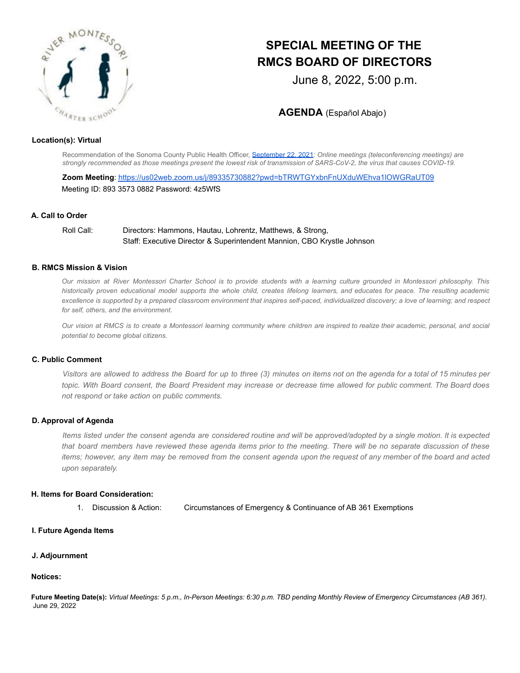

# **SPECIAL MEETING OF THE RMCS BOARD OF DIRECTORS**

June 8, 2022, 5:00 p.m.

**AGENDA** (Español Abajo)

## **Location(s): Virtual**

Recommendation of the Sonoma County Public Health Officer, [September](https://socoemergency.org/recommendation-of-the-health-officer-public-meetings/) 22, 2021*: Online meetings (teleconferencing meetings) are* strongly recommended as those meetings present the lowest risk of transmission of SARS-CoV-2, the virus that causes COVID-19.

**Zoom Meeting**: https://us02web.zoom.us/j/89335730882?pwd=bTRWTGYxbnFnUXduWEhva1lOWGRaUT09 Meeting ID: 893 3573 0882 Password: 4z5WfS

## **A. Call to Order**

Roll Call: Directors: Hammons, Hautau, Lohrentz, Matthews, & Strong, Staff: Executive Director & Superintendent Mannion, CBO Krystle Johnson

## **B. RMCS Mission & Vision**

Our mission at River Montessori Charter School is to provide students with a learning culture grounded in Montessori philosophy. This historically proven educational model supports the whole child, creates lifelong learners, and educates for peace. The resulting academic excellence is supported by a prepared classroom environment that inspires self-paced, individualized discovery; a love of learning; and respect *for self, others, and the environment.*

Our vision at RMCS is to create a Montessori learning community where children are inspired to realize their academic, personal, and social *potential to become global citizens.*

## **C. Public Comment**

Visitors are allowed to address the Board for up to three (3) minutes on items not on the agenda for a total of 15 minutes per topic. With Board consent, the Board President may increase or decrease time allowed for public comment. The Board does *not respond or take action on public comments.*

## **D. Approval of Agenda**

Items listed under the consent agenda are considered routine and will be approved/adopted by a single motion. It is expected that board members have reviewed these agenda items prior to the meeting. There will be no separate discussion of these items; however, any item may be removed from the consent agenda upon the request of any member of the board and acted *upon separately.*

#### **H. Items for Board Consideration:**

1. Discussion & Action: Circumstances of Emergency & Continuance of AB 361 Exemptions

## **I. Future Agenda Items**

#### **J. Adjournment**

## **Notices:**

Future Meeting Date(s): Virtual Meetings: 5 p.m., In-Person Meetings: 6:30 p.m. TBD pending Monthly Review of Emergency Circumstances (AB 361). June 29, 2022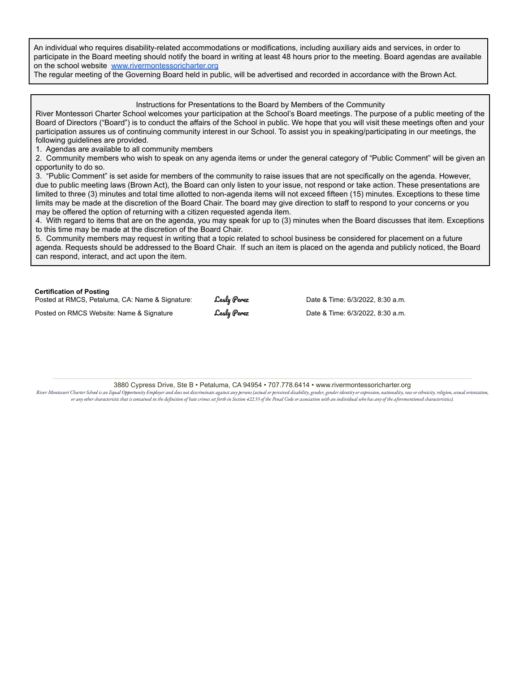An individual who requires disability-related accommodations or modifications, including auxiliary aids and services, in order to participate in the Board meeting should notify the board in writing at least 48 hours prior to the meeting. Board agendas are available on the school website [www.rivermontessoricharter.org](http://www.rivermontessoricharter.org/)

The regular meeting of the Governing Board held in public, will be advertised and recorded in accordance with the Brown Act.

Instructions for Presentations to the Board by Members of the Community

River Montessori Charter School welcomes your participation at the School's Board meetings. The purpose of a public meeting of the Board of Directors ("Board") is to conduct the affairs of the School in public. We hope that you will visit these meetings often and your participation assures us of continuing community interest in our School. To assist you in speaking/participating in our meetings, the following guidelines are provided.

1. Agendas are available to all community members

2. Community members who wish to speak on any agenda items or under the general category of "Public Comment" will be given an opportunity to do so.

3. "Public Comment" is set aside for members of the community to raise issues that are not specifically on the agenda. However, due to public meeting laws (Brown Act), the Board can only listen to your issue, not respond or take action. These presentations are limited to three (3) minutes and total time allotted to non-agenda items will not exceed fifteen (15) minutes. Exceptions to these time limits may be made at the discretion of the Board Chair. The board may give direction to staff to respond to your concerns or you may be offered the option of returning with a citizen requested agenda item.

4. With regard to items that are on the agenda, you may speak for up to (3) minutes when the Board discusses that item. Exceptions to this time may be made at the discretion of the Board Chair.

5. Community members may request in writing that a topic related to school business be considered for placement on a future agenda. Requests should be addressed to the Board Chair. If such an item is placed on the agenda and publicly noticed, the Board can respond, interact, and act upon the item.

#### **Certification of Posting**

| Posted at RMCS, Petaluma, CA: Name & Signature: | <b>Lesly Perez</b> | Date & Time: 6/3/2022, 8:30 a.m. |
|-------------------------------------------------|--------------------|----------------------------------|
| Posted on RMCS Website: Name & Signature        | <b>Lesly Perez</b> | Date & Time: 6/3/2022, 8:30 a.m. |

3880 Cypress Drive, Ste B • Petaluma, CA 94954 • 707.778.6414 • www.rivermontessoricharter.org

River Montesori Charter School is an Equal Opportunity Employer and does not discriminate against any persons (actual or perceived disability, gender, gender identity or expression, nationality, race or ethnicity, religion or any other characteristic that is contained in the definition of hate crimes set forth in Section 422.55 of the Penal Code or association with an individual who has any of the aforementioned characteristics).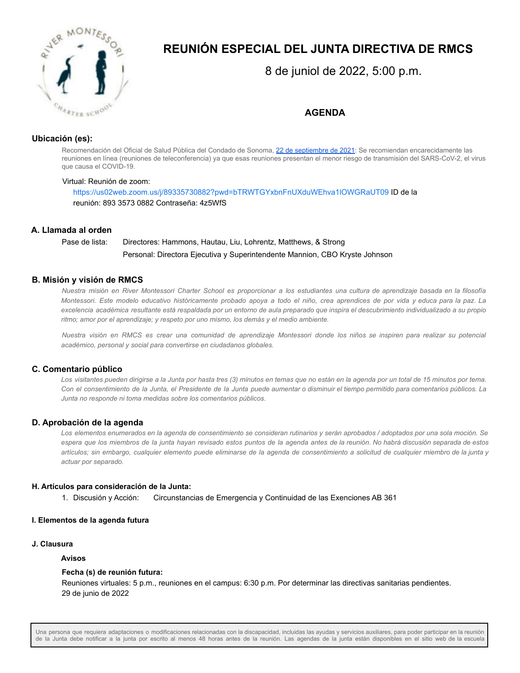

# **REUNIÓN ESPECIAL DEL JUNTA DIRECTIVA DE RMCS**

8 de juniol de 2022, 5:00 p.m.

**AGENDA**

# **Ubicación (es):**

Recomendación del Oficial de Salud Pública del Condado de Sonoma, 22 de [septiembre](https://socoemergency.org/recommendation-of-the-health-officer-public-meetings/) de 2021: Se recomiendan encarecidamente las reuniones en línea (reuniones de teleconferencia) ya que esas reuniones presentan el menor riesgo de transmisión del SARS-CoV-2, el virus que causa el COVID-19.

## Virtual: Reunión de zoom:

https://us02web.zoom.us/j/89335730882?pwd=bTRWTGYxbnFnUXduWEhva1lOWGRaUT09 ID de la reunión: 893 3573 0882 Contraseña: 4z5WfS

# **A. Llamada al orden**

# Pase de lista: Directores: Hammons, Hautau, Liu, Lohrentz, Matthews, & Strong Personal: Directora Ejecutiva y Superintendente Mannion, CBO Kryste Johnson

# **B. Misión y visión de RMCS**

Nuestra misión en River Montessori Charter School es proporcionar a los estudiantes una cultura de aprendizaje basada en la filosofía Montessori. Este modelo educativo históricamente probado apoya a todo el niño, crea aprendices de por vida y educa para la paz. La excelencia académica resultante está respaldada por un entorno de aula preparado que inspira el descubrimiento individualizado a su propio *ritmo; amor por el aprendizaje; y respeto por uno mismo, los demás y el medio ambiente.*

Nuestra visión en RMCS es crear una comunidad de aprendizaje Montessori donde los niños se inspiren para realizar su potencial *académico, personal y social para convertirse en ciudadanos globales.*

# **C. Comentario público**

Los visitantes pueden dirigirse a la Junta por hasta tres (3) minutos en temas que no están en la agenda por un total de 15 minutos por tema. Con el consentimiento de la Junta, el Presidente de la Junta puede aumentar o disminuir el tiempo permitido para comentarios públicos. La *Junta no responde ni toma medidas sobre los comentarios públicos.*

# **D. Aprobación de la agenda**

Los elementos enumerados en la agenda de consentimiento se consideran rutinarios y serán aprobados / adoptados por una sola moción. Se espera que los miembros de la junta hayan revisado estos puntos de la agenda antes de la reunión. No habrá discusión separada de estos artículos; sin embargo, cualquier elemento puede eliminarse de la agenda de consentimiento a solicitud de cualquier miembro de la junta y *actuar por separado.*

# **H. Artículos para consideración de la Junta:**

1. Discusión y Acción: Circunstancias de Emergencia y Continuidad de las Exenciones AB 361

# **I. Elementos de la agenda futura**

## **J. Clausura**

## **Avisos**

# **Fecha (s) de reunión futura:**

Reuniones virtuales: 5 p.m., reuniones en el campus: 6:30 p.m. Por determinar las directivas sanitarias pendientes. 29 de junio de 2022

Una persona que requiera adaptaciones o modificaciones relacionadas con la discapacidad, incluidas las ayudas y servicios auxiliares, para poder participar en la reunión de la Junta debe notificar a la junta por escrito al menos 48 horas antes de la reunión. Las agendas de la junta están disponibles en el sitio web de la escuela